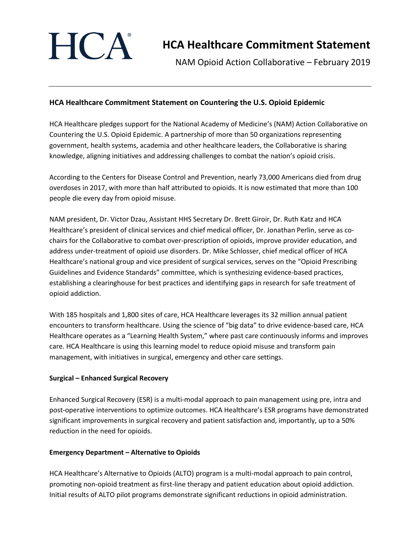

# **HCA Healthcare Commitment Statement**

NAM Opioid Action Collaborative – February 2019

## **HCA Healthcare Commitment Statement on Countering the U.S. Opioid Epidemic**

HCA Healthcare pledges support for the National Academy of Medicine's (NAM) Action Collaborative on Countering the U.S. Opioid Epidemic. A partnership of more than 50 organizations representing government, health systems, academia and other healthcare leaders, the Collaborative is sharing knowledge, aligning initiatives and addressing challenges to combat the nation's opioid crisis.

According to the Centers for Disease Control and Prevention, nearly 73,000 Americans died from drug overdoses in 2017, with more than half attributed to opioids. It is now estimated that more than 100 people die every day from opioid misuse.

NAM president, Dr. Victor Dzau, Assistant HHS Secretary Dr. Brett Giroir, Dr. Ruth Katz and HCA Healthcare's president of clinical services and chief medical officer, Dr. Jonathan Perlin, serve as cochairs for the Collaborative to combat over-prescription of opioids, improve provider education, and address under-treatment of opioid use disorders. Dr. Mike Schlosser, chief medical officer of HCA Healthcare's national group and vice president of surgical services, serves on the "Opioid Prescribing Guidelines and Evidence Standards" committee, which is synthesizing evidence-based practices, establishing a clearinghouse for best practices and identifying gaps in research for safe treatment of opioid addiction.

With 185 hospitals and 1,800 sites of care, HCA Healthcare leverages its 32 million annual patient encounters to transform healthcare. Using the science of "big data" to drive evidence-based care, HCA Healthcare operates as a "Learning Health System," where past care continuously informs and improves care. HCA Healthcare is using this learning model to reduce opioid misuse and transform pain management, with initiatives in surgical, emergency and other care settings.

#### **Surgical – Enhanced Surgical Recovery**

Enhanced Surgical Recovery (ESR) is a multi-modal approach to pain management using pre, intra and post-operative interventions to optimize outcomes. HCA Healthcare's ESR programs have demonstrated significant improvements in surgical recovery and patient satisfaction and, importantly, up to a 50% reduction in the need for opioids.

#### **Emergency Department – Alternative to Opioids**

HCA Healthcare's Alternative to Opioids (ALTO) program is a multi-modal approach to pain control, promoting non-opioid treatment as first-line therapy and patient education about opioid addiction. Initial results of ALTO pilot programs demonstrate significant reductions in opioid administration.